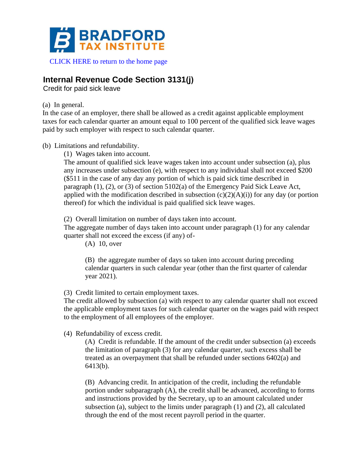

[CLICK HERE to return to the home page](https://www.bradfordtaxinstitute.com)

# **Internal Revenue Code Section 3131(j)**

Credit for paid sick leave

(a) In general.

In the case of an employer, there shall be allowed as a credit against applicable employment taxes for each calendar quarter an amount equal to 100 percent of the qualified sick leave wages paid by such employer with respect to such calendar quarter.

(b) Limitations and refundability.

(1) Wages taken into account.

The amount of qualified sick leave wages taken into account under subsection (a), plus any increases under subsection (e), with respect to any individual shall not exceed \$200 (\$511 in the case of any day any portion of which is paid sick time described in paragraph (1), (2), or (3) of section 5102(a) of the Emergency Paid Sick Leave Act, applied with the modification described in subsection  $(c)(2)(A)(i)$  for any day (or portion thereof) for which the individual is paid qualified sick leave wages.

(2) Overall limitation on number of days taken into account.

The aggregate number of days taken into account under paragraph (1) for any calendar quarter shall not exceed the excess (if any) of-

(A) 10, over

(B) the aggregate number of days so taken into account during preceding calendar quarters in such calendar year (other than the first quarter of calendar year 2021).

(3) Credit limited to certain employment taxes.

The credit allowed by subsection (a) with respect to any calendar quarter shall not exceed the applicable employment taxes for such calendar quarter on the wages paid with respect to the employment of all employees of the employer.

(4) Refundability of excess credit.

(A) Credit is refundable. If the amount of the credit under subsection (a) exceeds the limitation of paragraph (3) for any calendar quarter, such excess shall be treated as an overpayment that shall be refunded under sections 6402(a) and 6413(b).

(B) Advancing credit. In anticipation of the credit, including the refundable portion under subparagraph (A), the credit shall be advanced, according to forms and instructions provided by the Secretary, up to an amount calculated under subsection (a), subject to the limits under paragraph (1) and (2), all calculated through the end of the most recent payroll period in the quarter.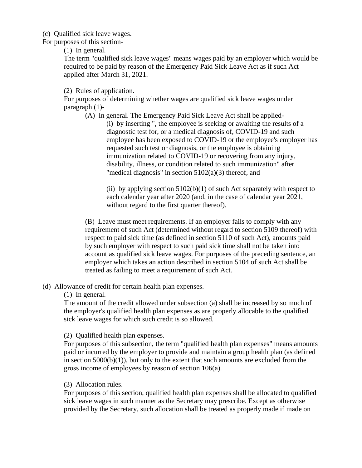(c) Qualified sick leave wages.

For purposes of this section-

(1) In general.

The term "qualified sick leave wages" means wages paid by an employer which would be required to be paid by reason of the Emergency Paid Sick Leave Act as if such Act applied after March 31, 2021.

(2) Rules of application.

For purposes of determining whether wages are qualified sick leave wages under paragraph (1)-

(A) In general. The Emergency Paid Sick Leave Act shall be applied- (i) by inserting ", the employee is seeking or awaiting the results of a diagnostic test for, or a medical diagnosis of, COVID-19 and such employee has been exposed to COVID-19 or the employee's employer has requested such test or diagnosis, or the employee is obtaining immunization related to COVID-19 or recovering from any injury, disability, illness, or condition related to such immunization" after "medical diagnosis" in section  $5102(a)(3)$  thereof, and

(ii) by applying section  $5102(b)(1)$  of such Act separately with respect to each calendar year after 2020 (and, in the case of calendar year 2021, without regard to the first quarter thereof).

(B) Leave must meet requirements. If an employer fails to comply with any requirement of such Act (determined without regard to section 5109 thereof) with respect to paid sick time (as defined in section 5110 of such Act), amounts paid by such employer with respect to such paid sick time shall not be taken into account as qualified sick leave wages. For purposes of the preceding sentence, an employer which takes an action described in section 5104 of such Act shall be treated as failing to meet a requirement of such Act.

(d) Allowance of credit for certain health plan expenses.

(1) In general.

The amount of the credit allowed under subsection (a) shall be increased by so much of the employer's qualified health plan expenses as are properly allocable to the qualified sick leave wages for which such credit is so allowed.

(2) Qualified health plan expenses.

For purposes of this subsection, the term "qualified health plan expenses" means amounts paid or incurred by the employer to provide and maintain a group health plan (as defined in section  $5000(b)(1)$ , but only to the extent that such amounts are excluded from the gross income of employees by reason of section 106(a).

(3) Allocation rules.

For purposes of this section, qualified health plan expenses shall be allocated to qualified sick leave wages in such manner as the Secretary may prescribe. Except as otherwise provided by the Secretary, such allocation shall be treated as properly made if made on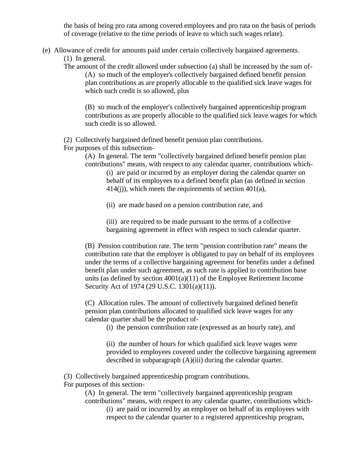the basis of being pro rata among covered employees and pro rata on the basis of periods of coverage (relative to the time periods of leave to which such wages relate).

(e) Allowance of credit for amounts paid under certain collectively bargained agreements.

(1) In general.

The amount of the credit allowed under subsection (a) shall be increased by the sum of- (A) so much of the employer's collectively bargained defined benefit pension plan contributions as are properly allocable to the qualified sick leave wages for which such credit is so allowed, plus

(B) so much of the employer's collectively bargained apprenticeship program contributions as are properly allocable to the qualified sick leave wages for which such credit is so allowed.

(2) Collectively bargained defined benefit pension plan contributions.

For purposes of this subsection-

(A) In general. The term "collectively bargained defined benefit pension plan contributions" means, with respect to any calendar quarter, contributions which-

(i) are paid or incurred by an employer during the calendar quarter on behalf of its employees to a defined benefit plan (as defined in section 414(j)), which meets the requirements of section 401(a),

(ii) are made based on a pension contribution rate, and

(iii) are required to be made pursuant to the terms of a collective bargaining agreement in effect with respect to such calendar quarter.

(B) Pension contribution rate. The term "pension contribution rate" means the contribution rate that the employer is obligated to pay on behalf of its employees under the terms of a collective bargaining agreement for benefits under a defined benefit plan under such agreement, as such rate is applied to contribution base units (as defined by section  $4001(a)(11)$  of the Employee Retirement Income Security Act of 1974 (29 U.S.C. 1301(a)(11)).

(C) Allocation rules. The amount of collectively bargained defined benefit pension plan contributions allocated to qualified sick leave wages for any calendar quarter shall be the product of-

(i) the pension contribution rate (expressed as an hourly rate), and

(ii) the number of hours for which qualified sick leave wages were provided to employees covered under the collective bargaining agreement described in subparagraph (A)(iii) during the calendar quarter.

(3) Collectively bargained apprenticeship program contributions.

For purposes of this section-

(A) In general. The term "collectively bargained apprenticeship program contributions" means, with respect to any calendar quarter, contributions which-

(i) are paid or incurred by an employer on behalf of its employees with respect to the calendar quarter to a registered apprenticeship program,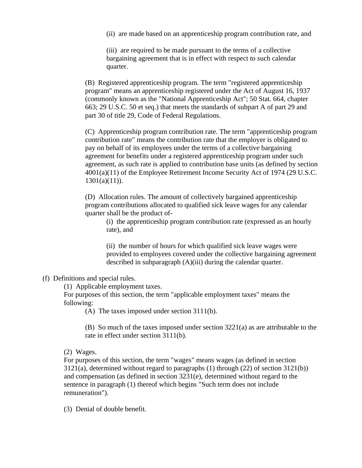(ii) are made based on an apprenticeship program contribution rate, and

(iii) are required to be made pursuant to the terms of a collective bargaining agreement that is in effect with respect to such calendar quarter.

(B) Registered apprenticeship program. The term "registered apprenticeship program" means an apprenticeship registered under the Act of August 16, 1937 (commonly known as the "National Apprenticeship Act"; 50 Stat. 664, chapter 663; 29 U.S.C. 50 et seq.) that meets the standards of subpart A of part 29 and part 30 of title 29, Code of Federal Regulations.

(C) Apprenticeship program contribution rate. The term "apprenticeship program contribution rate" means the contribution rate that the employer is obligated to pay on behalf of its employees under the terms of a collective bargaining agreement for benefits under a registered apprenticeship program under such agreement, as such rate is applied to contribution base units (as defined by section 4001(a)(11) of the Employee Retirement Income Security Act of 1974 (29 U.S.C.  $1301(a)(11)$ .

(D) Allocation rules. The amount of collectively bargained apprenticeship program contributions allocated to qualified sick leave wages for any calendar quarter shall be the product of-

(i) the apprenticeship program contribution rate (expressed as an hourly rate), and

(ii) the number of hours for which qualified sick leave wages were provided to employees covered under the collective bargaining agreement described in subparagraph (A)(iii) during the calendar quarter.

#### (f) Definitions and special rules.

(1) Applicable employment taxes.

For purposes of this section, the term "applicable employment taxes" means the following:

(A) The taxes imposed under section 3111(b).

(B) So much of the taxes imposed under section 3221(a) as are attributable to the rate in effect under section 3111(b).

(2) Wages.

For purposes of this section, the term "wages" means wages (as defined in section 3121(a), determined without regard to paragraphs (1) through (22) of section 3121(b)) and compensation (as defined in section 3231(e), determined without regard to the sentence in paragraph (1) thereof which begins "Such term does not include remuneration").

(3) Denial of double benefit.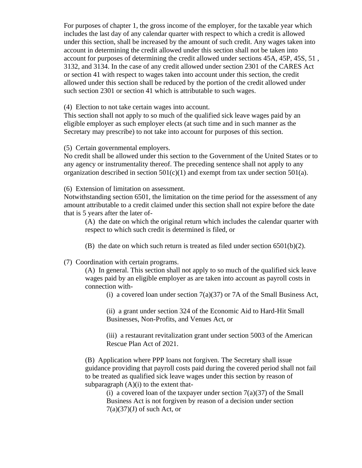For purposes of chapter 1, the gross income of the employer, for the taxable year which includes the last day of any calendar quarter with respect to which a credit is allowed under this section, shall be increased by the amount of such credit. Any wages taken into account in determining the credit allowed under this section shall not be taken into account for purposes of determining the credit allowed under sections 45A, 45P, 45S, 51 , 3132, and 3134. In the case of any credit allowed under section 2301 of the CARES Act or section 41 with respect to wages taken into account under this section, the credit allowed under this section shall be reduced by the portion of the credit allowed under such section 2301 or section 41 which is attributable to such wages.

(4) Election to not take certain wages into account.

This section shall not apply to so much of the qualified sick leave wages paid by an eligible employer as such employer elects (at such time and in such manner as the Secretary may prescribe) to not take into account for purposes of this section.

(5) Certain governmental employers.

No credit shall be allowed under this section to the Government of the United States or to any agency or instrumentality thereof. The preceding sentence shall not apply to any organization described in section  $501(c)(1)$  and exempt from tax under section  $501(a)$ .

(6) Extension of limitation on assessment.

Notwithstanding section 6501, the limitation on the time period for the assessment of any amount attributable to a credit claimed under this section shall not expire before the date that is 5 years after the later of-

(A) the date on which the original return which includes the calendar quarter with respect to which such credit is determined is filed, or

(B) the date on which such return is treated as filed under section  $6501(b)(2)$ .

(7) Coordination with certain programs.

(A) In general. This section shall not apply to so much of the qualified sick leave wages paid by an eligible employer as are taken into account as payroll costs in connection with-

(i) a covered loan under section  $7(a)(37)$  or 7A of the Small Business Act,

(ii) a grant under section 324 of the Economic Aid to Hard-Hit Small Businesses, Non-Profits, and Venues Act, or

(iii) a restaurant revitalization grant under section 5003 of the American Rescue Plan Act of 2021.

(B) Application where PPP loans not forgiven. The Secretary shall issue guidance providing that payroll costs paid during the covered period shall not fail to be treated as qualified sick leave wages under this section by reason of subparagraph  $(A)(i)$  to the extent that-

(i) a covered loan of the taxpayer under section  $7(a)(37)$  of the Small Business Act is not forgiven by reason of a decision under section  $7(a)(37)(J)$  of such Act, or